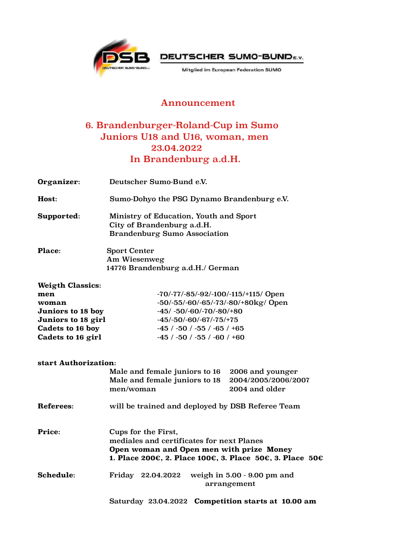



Mitglied im European Federation SUMO

## Announcement

## 6. Brandenburger-Roland-Cup im Sumo Juniors U18 and U16, woman, men 23.04.2022 In Brandenburg a.d.H.

| Organizer:                                                                                                                  | Deutscher Sumo-Bund e.V.                                                                                                                                                                                                      |                                                           |
|-----------------------------------------------------------------------------------------------------------------------------|-------------------------------------------------------------------------------------------------------------------------------------------------------------------------------------------------------------------------------|-----------------------------------------------------------|
| Host:                                                                                                                       | Sumo-Dohyo the PSG Dynamo Brandenburg e.V.                                                                                                                                                                                    |                                                           |
| Supported:                                                                                                                  | Ministry of Education, Youth and Sport<br>City of Brandenburg a.d.H.<br><b>Brandenburg Sumo Association</b>                                                                                                                   |                                                           |
| Place:                                                                                                                      | <b>Sport Center</b><br>Am Wiesenweg<br>14776 Brandenburg a.d.H./ German                                                                                                                                                       |                                                           |
| <b>Weigth Classics:</b><br>men<br>woman<br>Juniors to 18 boy<br>Juniors to 18 girl<br>Cadets to 16 boy<br>Cadets to 16 girl | -70/-77/-85/-92/-100/-115/+115/ Open<br>$-50/-55/-60/-65/-73/-80/+80kg/Open$<br>$-45/ -50/ -60/ -70/ -80/ +80$<br>$-45/-50/-60/-67/-75/+75$<br>$-45$ / $-50$ / $-55$ / $-65$ / $+65$<br>$-45$ / $-50$ / $-55$ / $-60$ / $+60$ |                                                           |
| start Authorization:                                                                                                        | Male and female juniors to 16<br>Male and female juniors to 18<br>men/woman                                                                                                                                                   | 2006 and younger<br>2004/2005/2006/2007<br>2004 and older |
| Referees:                                                                                                                   | will be trained and deployed by DSB Referee Team                                                                                                                                                                              |                                                           |
| Price:                                                                                                                      | Cups for the First,<br>mediales and certificates for next Planes<br>Open woman and Open men with prize Money<br>1. Place 200€, 2. Place 100€, 3. Place 50€, 3. Place 50€                                                      |                                                           |
| Schedule:                                                                                                                   | weigh in 5.00 - 9.00 pm and<br>Friday 22.04.2022<br>arrangement                                                                                                                                                               |                                                           |
|                                                                                                                             | Saturday 23.04.2022 Competition starts at 10.00 am                                                                                                                                                                            |                                                           |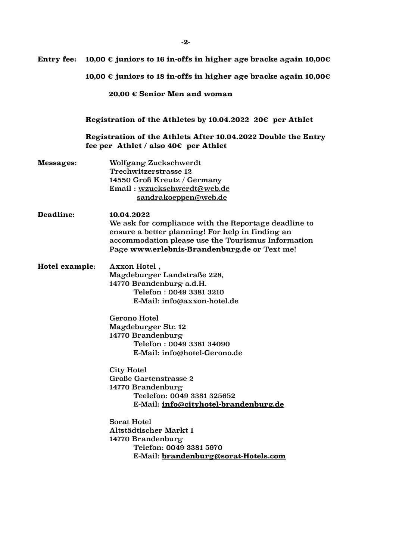| <b>Entry fee:</b>            | 10,00 € juniors to 16 in-offs in higher age bracke again 10,00€                                                                                                                                                                                                                                                                                                                                                                                                                                                                                           |  |
|------------------------------|-----------------------------------------------------------------------------------------------------------------------------------------------------------------------------------------------------------------------------------------------------------------------------------------------------------------------------------------------------------------------------------------------------------------------------------------------------------------------------------------------------------------------------------------------------------|--|
|                              | 10,00 € juniors to 18 in-offs in higher age bracke again 10,00€                                                                                                                                                                                                                                                                                                                                                                                                                                                                                           |  |
| 20,00 € Senior Men and woman |                                                                                                                                                                                                                                                                                                                                                                                                                                                                                                                                                           |  |
|                              | Registration of the Athletes by 10.04.2022 20 $\epsilon$ per Athlet                                                                                                                                                                                                                                                                                                                                                                                                                                                                                       |  |
|                              | Registration of the Athlets After 10.04.2022 Double the Entry<br>fee per Athlet / also $40 \epsilon$ per Athlet                                                                                                                                                                                                                                                                                                                                                                                                                                           |  |
| Messages:                    | Wolfgang Zuckschwerdt<br>Trechwitzerstrasse 12<br>14550 Groß Kreutz / Germany<br>Email: wzuckschwerdt@web.de<br>sandrakoeppen@web.de                                                                                                                                                                                                                                                                                                                                                                                                                      |  |
| Deadline:                    | 10.04.2022<br>We ask for compliance with the Reportage deadline to<br>ensure a better planning! For help in finding an<br>accommodation please use the Tourismus Information<br>Page www.erlebnis-Brandenburg.de or Text me!                                                                                                                                                                                                                                                                                                                              |  |
| <b>Hotel example:</b>        | Axxon Hotel,<br>Magdeburger Landstraße 228,<br>14770 Brandenburg a.d.H.<br>Telefon: 0049 3381 3210<br>E-Mail: info@axxon-hotel.de<br><b>Gerono Hotel</b><br>Magdeburger Str. 12<br>14770 Brandenburg<br>Telefon: 0049 3381 34090<br>E-Mail: info@hotel-Gerono.de<br><b>City Hotel</b><br><b>Große Gartenstrasse 2</b><br>14770 Brandenburg<br>Teelefon: 0049 3381 325652<br>E-Mail: info@cityhotel-brandenburg.de<br><b>Sorat Hotel</b><br>Altstädtischer Markt 1<br>14770 Brandenburg<br>Telefon: 0049 3381 5970<br>E-Mail: brandenburg@sorat-Hotels.com |  |